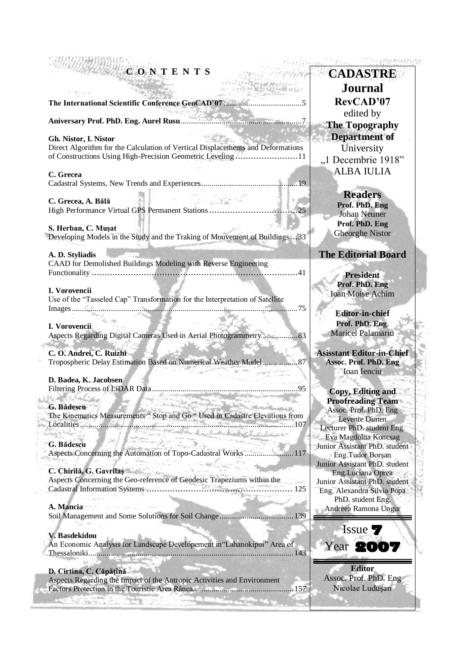# **C O N T E N T S**

**The International Scientific Conference GeoCAD'07** ......................................5

**Aniversary Prof. PhD. Eng. Aurel Rusu**...........................................................7

### **Gh. Nistor, I. Nistor**

Direct Algorithm for the Calculation of Vertical Displacements and Deformations of Constructions Using High-Precision Geometric Leveling ........................11

### **C. Grecea**

Cadastral Systems, New Trends and Experiences...............................................19

**C. Grecea, A. Bălă**  High Performance Virtual GPS Permanent Stations.................................

### **S. Herban, C. Muşat**

Developing Models in the Study and the Traking of Mouvement of Buildings...33

#### **A. D. Styliadis**

CAAD for Demolished Buildings Modeling with Reverse Engineering Functionality ...............................................................................41

### **I. Vorovencii**

Use of the "Tasseled Cap" Transformation for the Interpretation of Satellite Images..............................................................................................................75

H

#### **I. Vorovencii**

Aspects Regarding Digital Cameras Used in Aerial Photogrammetry .................83

### **C. O. Andrei, C. Ruizhi**

Tropospheric Delay Estimation Based on Numerical Weather Model.................87

### **D. Badea, K. Jacobsen**

Filtering Process of LiDAR Data.......................................................................95 Kitchen **DESCRIPTION** 

### **G. Bădescu**

The Kinematics Measurements " Stop and Go " Used in Cadastre Elevations from Localities........................................................................................................107 دا و پن mailean an 15

### **G. Bădescu**

Aspects Concerning the Automation of Topo-Cadastral Works........................117

## **C. Chirilă, G. Gavrilaş**

Aspects Concerning the Geo-reference of Geodesic Trapeziums within the Cadastral Information Systems ........................................................ 125

en albem

### **A. Mancia**

Soil Management and Some Solutions for Soil Change ....................................139

### **V. Basdekidou**

An Economic Analysis for Landscape Developement in"Lahanokipoi" Area of Thessaloniki....................................................................................................143

### **D. Cirtina, C. Căpăţînă**

Aspects Regarding the Impact of the Antropic Activities and Environment Factors Protection in the Touristic Area Rânca.................................................157

**CADASTRE Journal RevCAD'07** edited by **The Topography Department of** University "1 Decembrie 1918" ALBA IULIA

The Philippine of the Party of the

**Readers Prof. PhD. Eng** Johan Neuner **Prof. PhD. Eng** Gheorghe Nistor

### **The Editorial Board**

**President Prof. PhD. Eng** Ioan Moise Achim

**Editor-in-chief Prof. PhD. Eng**. Maricel Palamariu

**Asisstant Editor-in-Chief Assoc. Prof. PhD. Eng** Ioan Ienciu

**Copy, Editing and Proofreading Team** Assoc. Prof. PhD. Eng Levente Dimen Lecturer PhD. student Eng. Eva Magdolna Koncsag Junior Assistant PhD. student Eng.Tudor Borşan Junior Assistant PhD. student Eng.Luciana Oprea Junior Assistant PhD. student Eng. Alexandra Silvia Popa PhD. student Eng. Andreea Ramona Ungur